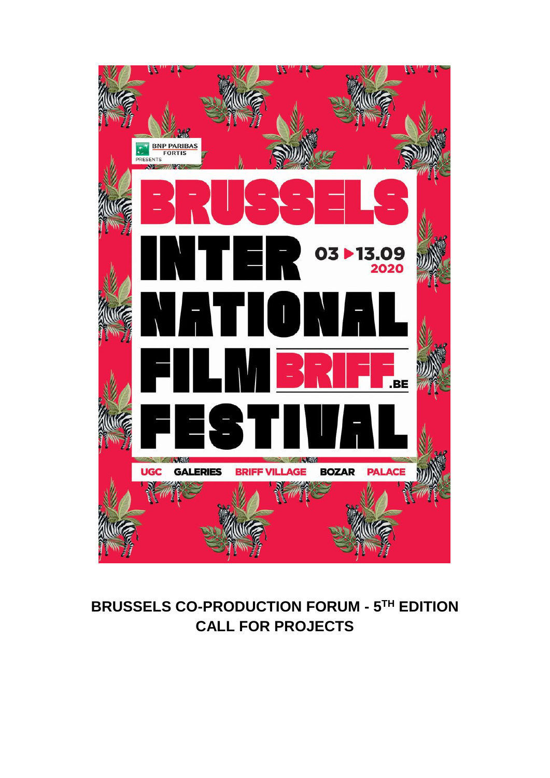

# **BRUSSELS CO-PRODUCTION FORUM - 5 TH EDITION CALL FOR PROJECTS**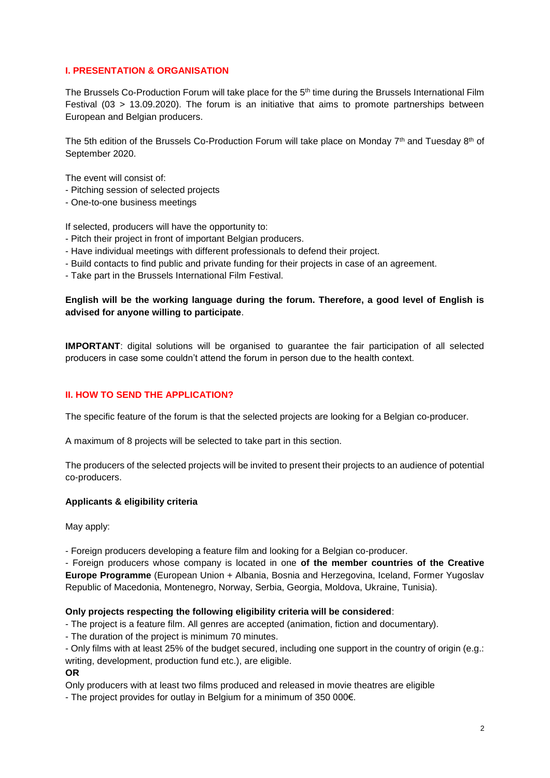#### **I. PRESENTATION & ORGANISATION**

The Brussels Co-Production Forum will take place for the 5<sup>th</sup> time during the Brussels International Film Festival (03 > 13.09.2020). The forum is an initiative that aims to promote partnerships between European and Belgian producers.

The 5th edition of the Brussels Co-Production Forum will take place on Monday 7th and Tuesday 8th of September 2020.

The event will consist of:

- Pitching session of selected projects
- One-to-one business meetings

If selected, producers will have the opportunity to:

- Pitch their project in front of important Belgian producers.
- Have individual meetings with different professionals to defend their project.
- Build contacts to find public and private funding for their projects in case of an agreement.
- Take part in the Brussels International Film Festival.

## **English will be the working language during the forum. Therefore, a good level of English is advised for anyone willing to participate**.

**IMPORTANT**: digital solutions will be organised to guarantee the fair participation of all selected producers in case some couldn't attend the forum in person due to the health context.

#### **II. HOW TO SEND THE APPLICATION?**

The specific feature of the forum is that the selected projects are looking for a Belgian co-producer.

A maximum of 8 projects will be selected to take part in this section.

The producers of the selected projects will be invited to present their projects to an audience of potential co-producers.

#### **Applicants & eligibility criteria**

May apply:

- Foreign producers developing a feature film and looking for a Belgian co-producer.

- Foreign producers whose company is located in one **of the member countries of the Creative Europe Programme** (European Union + Albania, Bosnia and Herzegovina, Iceland, Former Yugoslav Republic of Macedonia, Montenegro, Norway, Serbia, Georgia, Moldova, Ukraine, Tunisia).

#### **Only projects respecting the following eligibility criteria will be considered**:

- The project is a feature film. All genres are accepted (animation, fiction and documentary).

- The duration of the project is minimum 70 minutes.

- Only films with at least 25% of the budget secured, including one support in the country of origin (e.g.: writing, development, production fund etc.), are eligible.

**OR**

Only producers with at least two films produced and released in movie theatres are eligible

- The project provides for outlay in Belgium for a minimum of 350 000€.